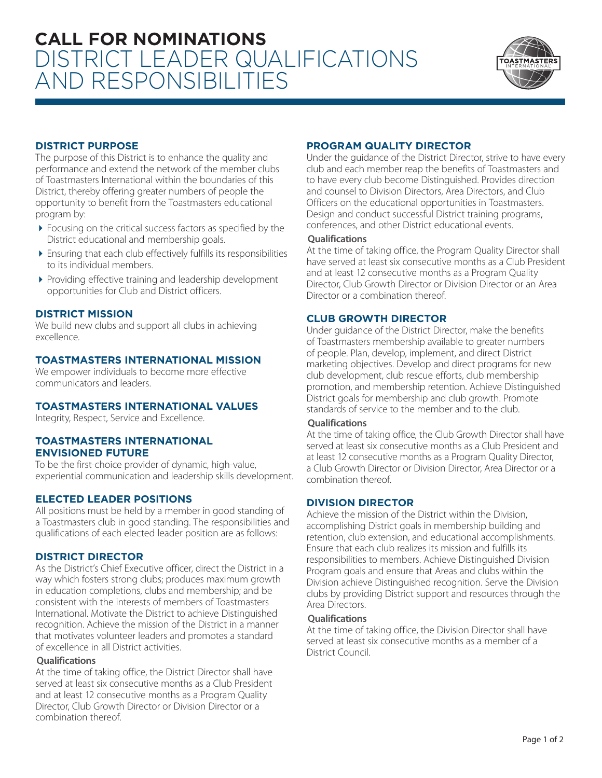

# **DISTRICT PURPOSE**

The purpose of this District is to enhance the quality and performance and extend the network of the member clubs of Toastmasters International within the boundaries of this District, thereby offering greater numbers of people the opportunity to benefit from the Toastmasters educational program by:

- ▶ Focusing on the critical success factors as specified by the District educational and membership goals.
- 4 Ensuring that each club effectively fulfills its responsibilities to its individual members.
- 4 Providing effective training and leadership development opportunities for Club and District officers.

# **DISTRICT MISSION**

We build new clubs and support all clubs in achieving excellence.

## **TOASTMASTERS INTERNATIONAL MISSION**

We empower individuals to become more effective communicators and leaders.

## **TOASTMASTERS INTERNATIONAL VALUES**

Integrity, Respect, Service and Excellence.

#### **TOASTMASTERS INTERNATIONAL ENVISIONED FUTURE**

To be the first-choice provider of dynamic, high-value, experiential communication and leadership skills development.

## **ELECTED LEADER POSITIONS**

All positions must be held by a member in good standing of a Toastmasters club in good standing. The responsibilities and qualifications of each elected leader position are as follows:

## **DISTRICT DIRECTOR**

As the District's Chief Executive officer, direct the District in a way which fosters strong clubs; produces maximum growth in education completions, clubs and membership; and be consistent with the interests of members of Toastmasters International. Motivate the District to achieve Distinguished recognition. Achieve the mission of the District in a manner that motivates volunteer leaders and promotes a standard of excellence in all District activities.

#### **Qualifications**

At the time of taking office, the District Director shall have served at least six consecutive months as a Club President and at least 12 consecutive months as a Program Quality Director, Club Growth Director or Division Director or a combination thereof.

# **PROGRAM QUALITY DIRECTOR**

Under the guidance of the District Director, strive to have every club and each member reap the benefits of Toastmasters and to have every club become Distinguished. Provides direction and counsel to Division Directors, Area Directors, and Club Officers on the educational opportunities in Toastmasters. Design and conduct successful District training programs, conferences, and other District educational events.

#### **Qualifications**

At the time of taking office, the Program Quality Director shall have served at least six consecutive months as a Club President and at least 12 consecutive months as a Program Quality Director, Club Growth Director or Division Director or an Area Director or a combination thereof.

# **CLUB GROWTH DIRECTOR**

Under guidance of the District Director, make the benefits of Toastmasters membership available to greater numbers of people. Plan, develop, implement, and direct District marketing objectives. Develop and direct programs for new club development, club rescue efforts, club membership promotion, and membership retention. Achieve Distinguished District goals for membership and club growth. Promote standards of service to the member and to the club.

#### **Qualifications**

At the time of taking office, the Club Growth Director shall have served at least six consecutive months as a Club President and at least 12 consecutive months as a Program Quality Director, a Club Growth Director or Division Director, Area Director or a combination thereof.

## **DIVISION DIRECTOR**

Achieve the mission of the District within the Division, accomplishing District goals in membership building and retention, club extension, and educational accomplishments. Ensure that each club realizes its mission and fulfills its responsibilities to members. Achieve Distinguished Division Program goals and ensure that Areas and clubs within the Division achieve Distinguished recognition. Serve the Division clubs by providing District support and resources through the Area Directors.

#### **Qualifications**

At the time of taking office, the Division Director shall have served at least six consecutive months as a member of a District Council.